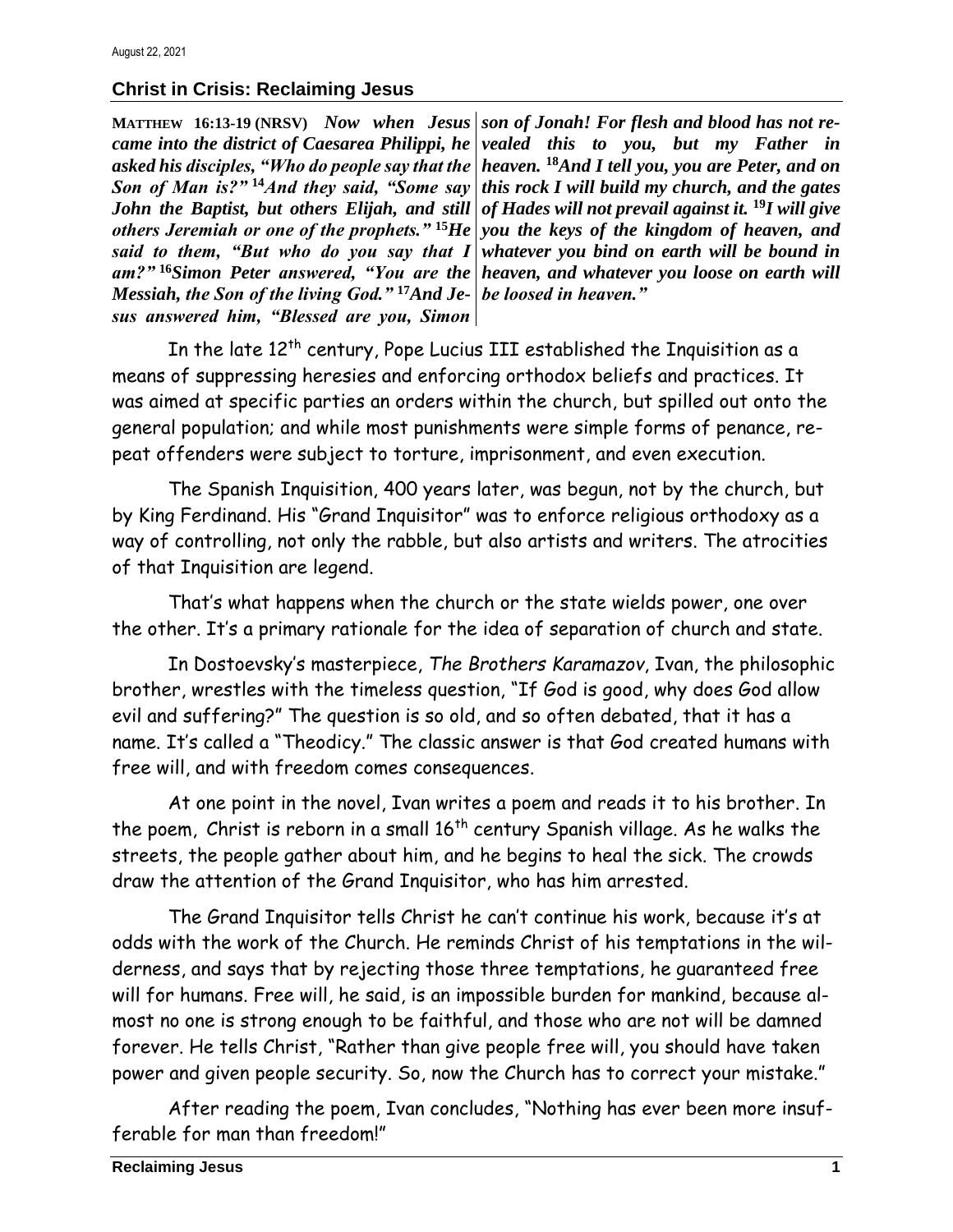## **Christ in Crisis: Reclaiming Jesus**

**MATTHEW 16:13-19 (NRSV)** *Now when Jesus Son of Man is?"* **<sup>14</sup>***And they said, "Some say John the Baptist, but others Elijah, and still said to them, "But who do you say that I Messiah, the Son of the living God."* **<sup>17</sup>***And Je-be loosed in heaven." sus answered him, "Blessed are you, Simon* 

came into the district of Caesarea Philippi, he | vealed this to you, but my Father in *asked his disciples, "Who do people say that the heaven.* **<sup>18</sup>***And I tell you, you are Peter, and on others Jeremiah or one of the prophets."* **<sup>15</sup>***He you the keys of the kingdom of heaven, and am?"* **<sup>16</sup>***Simon Peter answered, "You are the heaven, and whatever you loose on earth will son of Jonah! For flesh and blood has not rethis rock I will build my church, and the gates of Hades will not prevail against it.* **<sup>19</sup>***I will give whatever you bind on earth will be bound in* 

In the late  $12^{th}$  century, Pope Lucius III established the Inquisition as a means of suppressing heresies and enforcing orthodox beliefs and practices. It was aimed at specific parties an orders within the church, but spilled out onto the general population; and while most punishments were simple forms of penance, repeat offenders were subject to torture, imprisonment, and even execution.

The Spanish Inquisition, 400 years later, was begun, not by the church, but by King Ferdinand. His "Grand Inquisitor" was to enforce religious orthodoxy as a way of controlling, not only the rabble, but also artists and writers. The atrocities of that Inquisition are legend.

That's what happens when the church or the state wields power, one over the other. It's a primary rationale for the idea of separation of church and state.

In Dostoevsky's masterpiece, *The Brothers Karamazov*, Ivan, the philosophic brother, wrestles with the timeless question, "If God is good, why does God allow evil and suffering?" The question is so old, and so often debated, that it has a name. It's called a "Theodicy." The classic answer is that God created humans with free will, and with freedom comes consequences.

At one point in the novel, Ivan writes a poem and reads it to his brother. In the poem, Christ is reborn in a small  $16<sup>th</sup>$  century Spanish village. As he walks the streets, the people gather about him, and he begins to heal the sick. The crowds draw the attention of the Grand Inquisitor, who has him arrested.

The Grand Inquisitor tells Christ he can't continue his work, because it's at odds with the work of the Church. He reminds Christ of his temptations in the wilderness, and says that by rejecting those three temptations, he guaranteed free will for humans. Free will, he said, is an impossible burden for mankind, because almost no one is strong enough to be faithful, and those who are not will be damned forever. He tells Christ, "Rather than give people free will, you should have taken power and given people security. So, now the Church has to correct your mistake."

After reading the poem, Ivan concludes, "Nothing has ever been more insufferable for man than freedom!"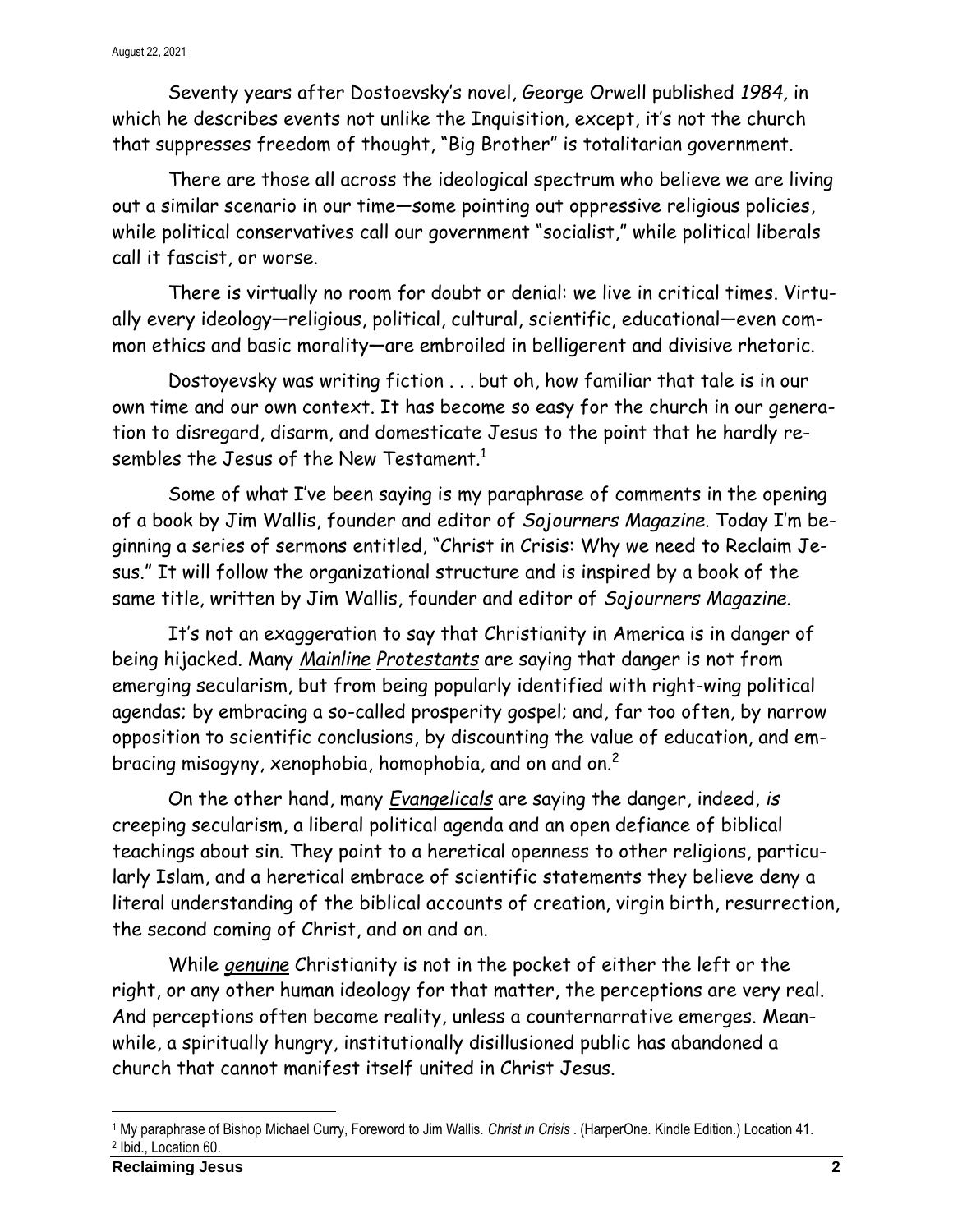Seventy years after Dostoevsky's novel, George Orwell published *1984,* in which he describes events not unlike the Inquisition, except, it's not the church that suppresses freedom of thought, "Big Brother" is totalitarian government.

There are those all across the ideological spectrum who believe we are living out a similar scenario in our time—some pointing out oppressive religious policies, while political conservatives call our government "socialist," while political liberals call it fascist, or worse.

There is virtually no room for doubt or denial: we live in critical times. Virtually every ideology—religious, political, cultural, scientific, educational—even common ethics and basic morality—are embroiled in belligerent and divisive rhetoric.

Dostoyevsky was writing fiction . . . but oh, how familiar that tale is in our own time and our own context. It has become so easy for the church in our generation to disregard, disarm, and domesticate Jesus to the point that he hardly resembles the Jesus of the New Testament.<sup>1</sup>

Some of what I've been saying is my paraphrase of comments in the opening of a book by Jim Wallis, founder and editor of *Sojourners Magazine*. Today I'm beginning a series of sermons entitled, "Christ in Crisis: Why we need to Reclaim Jesus." It will follow the organizational structure and is inspired by a book of the same title, written by Jim Wallis, founder and editor of *Sojourners Magazine*.

It's not an exaggeration to say that Christianity in America is in danger of being hijacked. Many *Mainline Protestants* are saying that danger is not from emerging secularism, but from being popularly identified with right-wing political agendas; by embracing a so-called prosperity gospel; and, far too often, by narrow opposition to scientific conclusions, by discounting the value of education, and embracing misogyny, xenophobia, homophobia, and on and on.<sup>2</sup>

On the other hand, many *Evangelicals* are saying the danger, indeed, *is* creeping secularism, a liberal political agenda and an open defiance of biblical teachings about sin. They point to a heretical openness to other religions, particularly Islam, and a heretical embrace of scientific statements they believe deny a literal understanding of the biblical accounts of creation, virgin birth, resurrection, the second coming of Christ, and on and on.

While *genuine* Christianity is not in the pocket of either the left or the right, or any other human ideology for that matter, the perceptions are very real. And perceptions often become reality, unless a counternarrative emerges. Meanwhile, a spiritually hungry, institutionally disillusioned public has abandoned a church that cannot manifest itself united in Christ Jesus.

<sup>1</sup> My paraphrase of Bishop Michael Curry, Foreword to Jim Wallis. *Christ in Crisis* . (HarperOne. Kindle Edition.) Location 41. 2 Ibid., Location 60.